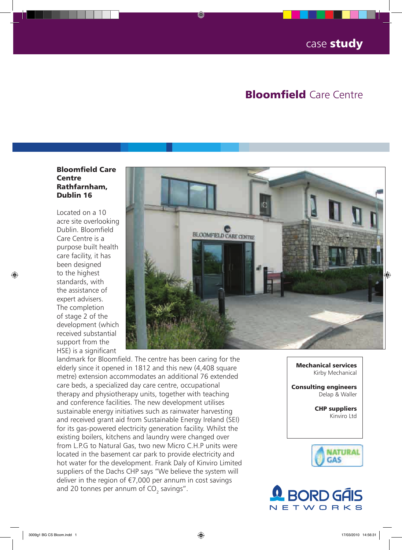## **Bloomfield Care Centre**

## Bloomfield Care Centre Rathfarnham, Dublin 16

Located on a 10 acre site overlooking Dublin. Bloomfield Care Centre is a purpose built health care facility, it has been designed to the highest standards, with the assistance of expert advisers. The completion of stage 2 of the development (which received substantial support from the HSE) is a significant



landmark for Bloomfield. The centre has been caring for the elderly since it opened in 1812 and this new (4,408 square metre) extension accommodates an additional 76 extended care beds, a specialized day care centre, occupational therapy and physiotherapy units, together with teaching and conference facilities. The new development utilises sustainable energy initiatives such as rainwater harvesting and received grant aid from Sustainable Energy Ireland (SEI) for its gas-powered electricity generation facility. Whilst the existing boilers, kitchens and laundry were changed over from L.P.G to Natural Gas, two new Micro C.H.P units were located in the basement car park to provide electricity and hot water for the development. Frank Daly of Kinviro Limited suppliers of the Dachs CHP says "We believe the system will deliver in the region of €7,000 per annum in cost savings and 20 tonnes per annum of CO<sub>2</sub> savings".

Mechanical services Kirby Mechanical

Consulting engineers Delap & Waller

> CHP suppliers Kinviro Ltd



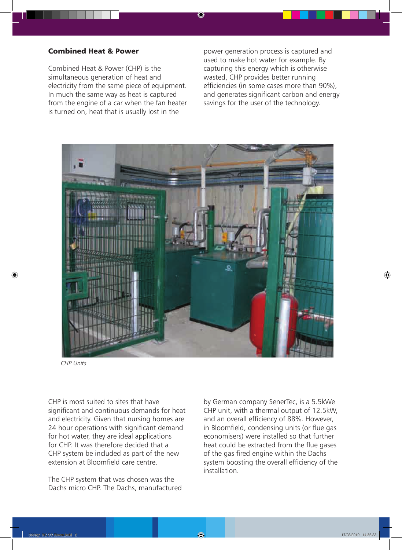## Combined Heat & Power

Combined Heat & Power (CHP) is the simultaneous generation of heat and electricity from the same piece of equipment. In much the same way as heat is captured from the engine of a car when the fan heater is turned on, heat that is usually lost in the

power generation process is captured and used to make hot water for example. By capturing this energy which is otherwise wasted, CHP provides better running efficiencies (in some cases more than 90%), and generates significant carbon and energy savings for the user of the technology.



*CHP Units*

CHP is most suited to sites that have significant and continuous demands for heat and electricity. Given that nursing homes are 24 hour operations with significant demand for hot water, they are ideal applications for CHP. It was therefore decided that a CHP system be included as part of the new extension at Bloomfield care centre.

The CHP system that was chosen was the Dachs micro CHP. The Dachs, manufactured by German company SenerTec, is a 5.5kWe CHP unit, with a thermal output of 12.5kW, and an overall efficiency of 88%. However, in Bloomfield, condensing units (or flue gas economisers) were installed so that further heat could be extracted from the flue gases of the gas fired engine within the Dachs system boosting the overall efficiency of the installation.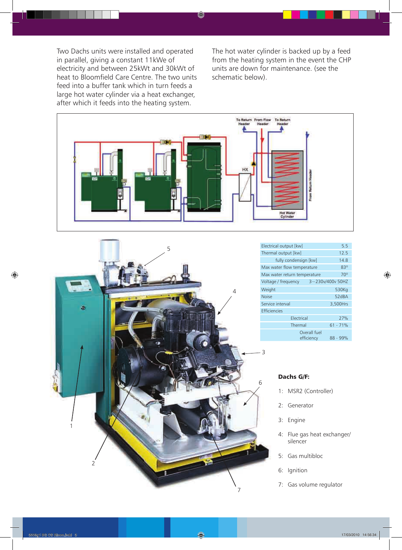Two Dachs units were installed and operated in parallel, giving a constant 11kWe of electricity and between 25kWt and 30kWt of heat to Bloomfield Care Centre. The two units feed into a buffer tank which in turn feeds a large hot water cylinder via a heat exchanger, after which it feeds into the heating system.

The hot water cylinder is backed up by a feed from the heating system in the event the CHP units are down for maintenance. (see the schematic below).





| Electrical output [kw]       | 5.5                                      |  |
|------------------------------|------------------------------------------|--|
| Thermal output [kw]          | 12.5                                     |  |
| fully condensign [kw]        | 14.8                                     |  |
| Max water flow temperature   | 830                                      |  |
| Max water return temperature | $70^\circ$                               |  |
| Voltage / frequency          | 3~230v/400v 50HZ                         |  |
| Weight                       | 530Kg                                    |  |
| <b>Noise</b>                 | 52dBA                                    |  |
| Service interval             | 3,500Hrs                                 |  |
| <b>Efficiencies</b>          |                                          |  |
| Electrical                   | 27%                                      |  |
| Thermal                      | $61 - 71%$                               |  |
|                              | Overall fuel<br>efficiency<br>$88 - 99%$ |  |

## Dachs G/F:

3

- 1: MSR2 (Controller)
- 2: Generator
- 3: Engine
- 4: Flue gas heat exchanger/ silencer
- 5: Gas multibloc
- 6: Ignition
- 7: Gas volume regulator